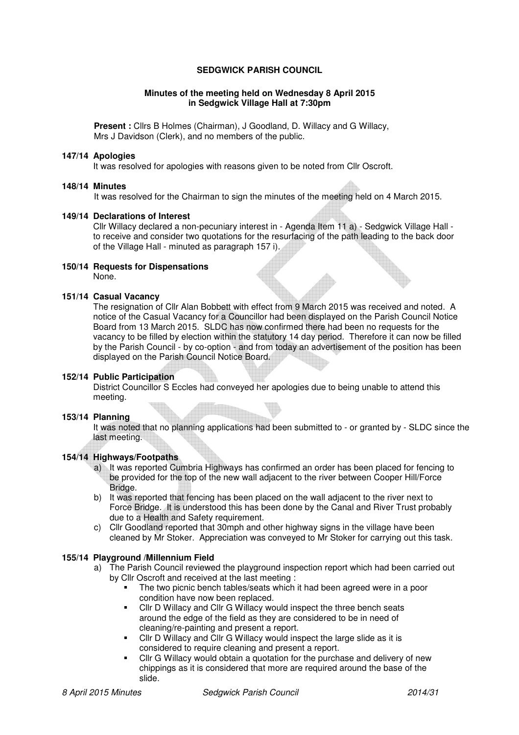# **SEDGWICK PARISH COUNCIL**

#### **Minutes of the meeting held on Wednesday 8 April 2015 in Sedgwick Village Hall at 7:30pm**

**Present :** Cllrs B Holmes (Chairman), J Goodland, D. Willacy and G Willacy, Mrs J Davidson (Clerk), and no members of the public.

#### **147/14 Apologies**

It was resolved for apologies with reasons given to be noted from Cllr Oscroft.

#### **148/14 Minutes**

It was resolved for the Chairman to sign the minutes of the meeting held on 4 March 2015.

#### **149/14 Declarations of Interest**

Cllr Willacy declared a non-pecuniary interest in - Agenda Item 11 a) - Sedgwick Village Hall to receive and consider two quotations for the resurfacing of the path leading to the back door of the Village Hall - minuted as paragraph 157 i).

### **150/14 Requests for Dispensations**  None.

### **151/14 Casual Vacancy**

The resignation of Cllr Alan Bobbett with effect from 9 March 2015 was received and noted. A notice of the Casual Vacancy for a Councillor had been displayed on the Parish Council Notice Board from 13 March 2015. SLDC has now confirmed there had been no requests for the vacancy to be filled by election within the statutory 14 day period. Therefore it can now be filled by the Parish Council - by co-option - and from today an advertisement of the position has been displayed on the Parish Council Notice Board.

## **152/14 Public Participation**

District Councillor S Eccles had conveyed her apologies due to being unable to attend this meeting.

### **153/14 Planning**

It was noted that no planning applications had been submitted to - or granted by - SLDC since the last meeting.

# **154/14 Highways/Footpaths**

- a) It was reported Cumbria Highways has confirmed an order has been placed for fencing to be provided for the top of the new wall adjacent to the river between Cooper Hill/Force Bridge.
- b) It was reported that fencing has been placed on the wall adjacent to the river next to Force Bridge. It is understood this has been done by the Canal and River Trust probably due to a Health and Safety requirement.
- c) Cllr Goodland reported that 30mph and other highway signs in the village have been cleaned by Mr Stoker. Appreciation was conveyed to Mr Stoker for carrying out this task.

## **155/14 Playground /Millennium Field**

- a) The Parish Council reviewed the playground inspection report which had been carried out by Cllr Oscroft and received at the last meeting :
	- The two picnic bench tables/seats which it had been agreed were in a poor condition have now been replaced.
	- Cllr D Willacy and Cllr G Willacy would inspect the three bench seats around the edge of the field as they are considered to be in need of cleaning/re-painting and present a report.
	- Cllr D Willacy and Cllr G Willacy would inspect the large slide as it is considered to require cleaning and present a report.
	- Cllr G Willacy would obtain a quotation for the purchase and delivery of new chippings as it is considered that more are required around the base of the slide.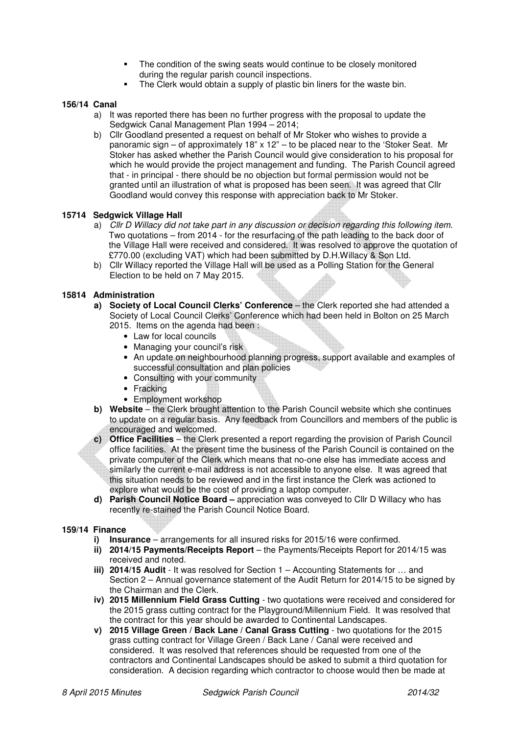- The condition of the swing seats would continue to be closely monitored during the regular parish council inspections.
- The Clerk would obtain a supply of plastic bin liners for the waste bin.

## **156/14 Canal**

- a) It was reported there has been no further progress with the proposal to update the Sedgwick Canal Management Plan 1994 – 2014;
- b) Cllr Goodland presented a request on behalf of Mr Stoker who wishes to provide a panoramic sign – of approximately  $18" \times 12"$  – to be placed near to the 'Stoker Seat. Mr Stoker has asked whether the Parish Council would give consideration to his proposal for which he would provide the project management and funding. The Parish Council agreed that - in principal - there should be no objection but formal permission would not be granted until an illustration of what is proposed has been seen. It was agreed that Cllr Goodland would convey this response with appreciation back to Mr Stoker.

## **15714 Sedgwick Village Hall**

- a) Cllr D Willacy did not take part in any discussion or decision regarding this following item. Two quotations – from 2014 - for the resurfacing of the path leading to the back door of the Village Hall were received and considered. It was resolved to approve the quotation of £770.00 (excluding VAT) which had been submitted by D.H.Willacy & Son Ltd.
- b) Cllr Willacy reported the Village Hall will be used as a Polling Station for the General Election to be held on 7 May 2015.

## **15814 Administration**

- **a) Society of Local Council Clerks' Conference**  the Clerk reported she had attended a Society of Local Council Clerks' Conference which had been held in Bolton on 25 March 2015. Items on the agenda had been :
	- Law for local councils
	- Managing your council's risk
	- An update on neighbourhood planning progress, support available and examples of successful consultation and plan policies
	- Consulting with your community
	- Fracking
	- Employment workshop
- **b)** Website the Clerk brought attention to the Parish Council website which she continues to update on a regular basis. Any feedback from Councillors and members of the public is encouraged and welcomed.
- **c) Office Facilities**  the Clerk presented a report regarding the provision of Parish Council office facilities. At the present time the business of the Parish Council is contained on the private computer of the Clerk which means that no-one else has immediate access and similarly the current e-mail address is not accessible to anyone else. It was agreed that this situation needs to be reviewed and in the first instance the Clerk was actioned to explore what would be the cost of providing a laptop computer.
- **d) Parish Council Notice Board** appreciation was conveyed to Cllr D Willacy who has recently re-stained the Parish Council Notice Board.

## **159/14 Finance**

- **i) Insurance** arrangements for all insured risks for 2015/16 were confirmed.
- **ii) 2014/15 Payments/Receipts Report** the Payments/Receipts Report for 2014/15 was received and noted.
- **iii) 2014/15 Audit** It was resolved for Section 1 Accounting Statements for … and Section 2 – Annual governance statement of the Audit Return for 2014/15 to be signed by the Chairman and the Clerk.
- **iv) 2015 Millennium Field Grass Cutting** two quotations were received and considered for the 2015 grass cutting contract for the Playground/Millennium Field. It was resolved that the contract for this year should be awarded to Continental Landscapes.
- **v) 2015 Village Green / Back Lane / Canal Grass Cutting** two quotations for the 2015 grass cutting contract for Village Green / Back Lane / Canal were received and considered. It was resolved that references should be requested from one of the contractors and Continental Landscapes should be asked to submit a third quotation for consideration. A decision regarding which contractor to choose would then be made at